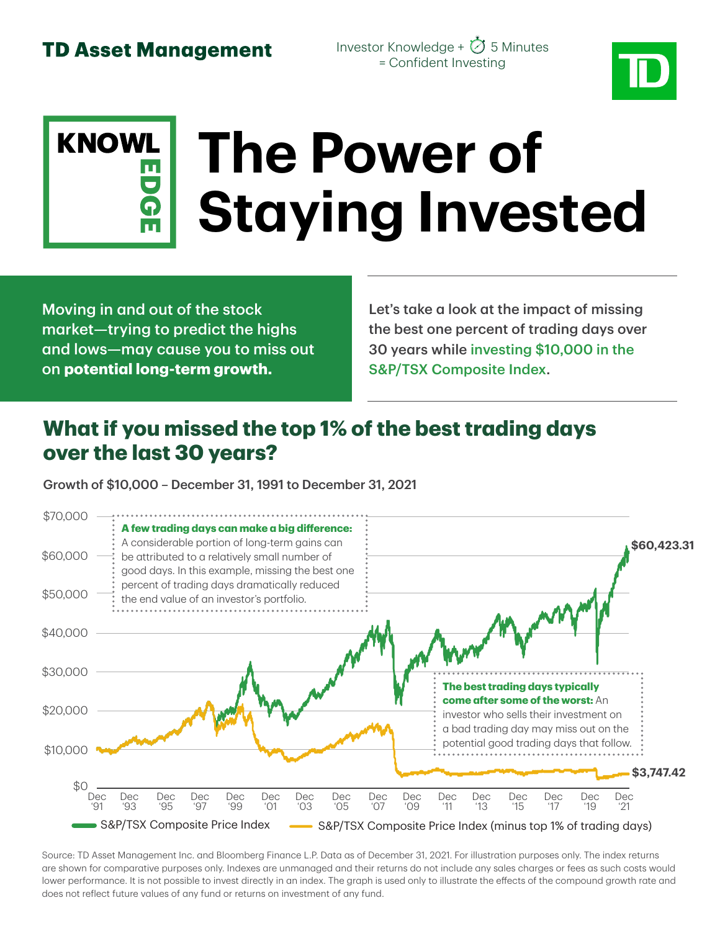Investor Knowledge +  $\oslash$  5 Minutes = Confident Investing



# **KNOWL The Power of Staying Invested**

Moving in and out of the stock market—trying to predict the highs and lows—may cause you to miss out on **potential long-term growth.**

Let's take a look at the impact of missing the best one percent of trading days over 30 years while investing \$10,000 in the S&P/TSX Composite Index.

## **What if you missed the top 1% of the best trading days over the last 30 years?**

Growth of \$10,000 – December 31, 1991 to December 31, 2021



Source: TD Asset Management Inc. and Bloomberg Finance L.P. Data as of December 31, 2021. For illustration purposes only. The index returns are shown for comparative purposes only. Indexes are unmanaged and their returns do not include any sales charges or fees as such costs would lower performance. It is not possible to invest directly in an index. The graph is used only to illustrate the effects of the compound growth rate and does not reflect future values of any fund or returns on investment of any fund.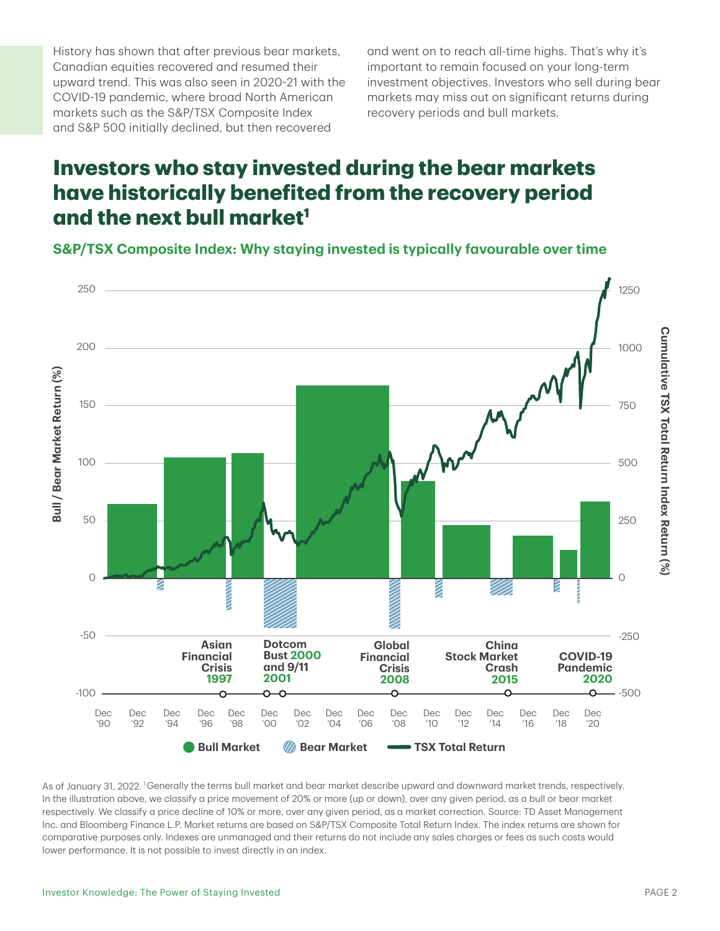History has shown that after previous bear markets, Canadian equities recovered and resumed their upward trend. This was also seen in 2020-21 with the COVID-19 pandemic, where broad North American markets such as the S&P/TSX Composite Index and S&P 500 initially declined, but then recovered

and went on to reach all-time highs. That's why it's important to remain focused on your long-term investment objectives. Investors who sell during bear markets may miss out on significant returns during recovery periods and bull markets.

### **Investors who stay invested during the bear markets have historically benefited from the recovery period and the next bull market1**

**S&P/TSX Composite Index: Why staying invested is typically favourable over time**



As of January 31, 2022. <sup>1</sup>Generally the terms bull market and bear market describe upward and downward market trends, respectively. In the illustration above, we classify a price movement of 20% or more (up or down), over any given period, as a bull or bear market respectively. We classify a price decline of 10% or more, over any given period, as a market correction. Source: TD Asset Management Inc. and Bloomberg Finance L.P. Market returns are based on S&P/TSX Composite Total Return Index. The index returns are shown for comparative purposes only. Indexes are unmanaged and their returns do not include any sales charges or fees as such costs would lower performance. It is not possible to invest directly in an index.